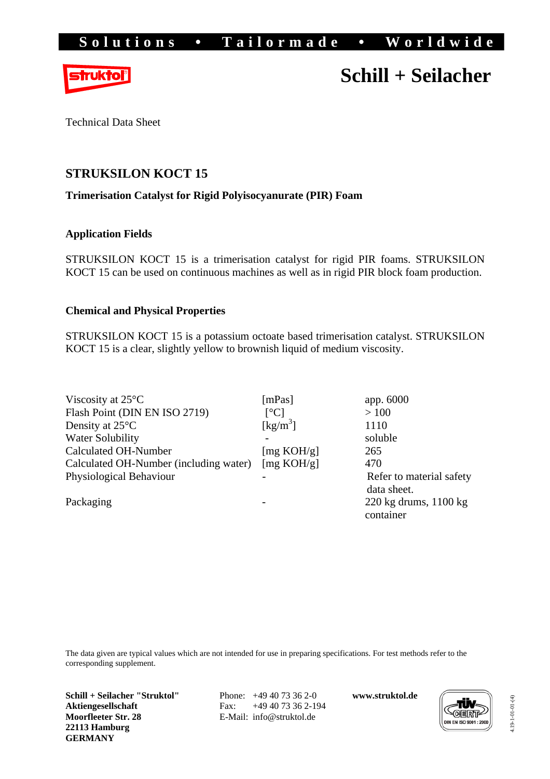

# **Schill + Seilacher**

Technical Data Sheet

## **STRUKSILON KOCT 15**

### **Trimerisation Catalyst for Rigid Polyisocyanurate (PIR) Foam**

## **Application Fields**

STRUKSILON KOCT 15 is a trimerisation catalyst for rigid PIR foams. STRUKSILON KOCT 15 can be used on continuous machines as well as in rigid PIR block foam production.

### **Chemical and Physical Properties**

STRUKSILON KOCT 15 is a potassium octoate based trimerisation catalyst. STRUKSILON KOCT 15 is a clear, slightly yellow to brownish liquid of medium viscosity.

| Viscosity at $25^{\circ}$ C            | [ $mPas$ ]                     | app. 6000                                 |
|----------------------------------------|--------------------------------|-------------------------------------------|
| Flash Point (DIN EN ISO 2719)          | $\lceil{^{\circ}C}\rceil$      | >100                                      |
| Density at $25^{\circ}$ C              | $\left[\mathrm{kg/m}^3\right]$ | 1110                                      |
| <b>Water Solubility</b>                |                                | soluble                                   |
| Calculated OH-Number                   | [mg KOH/g]                     | 265                                       |
| Calculated OH-Number (including water) | [mg KOH/g]                     | 470                                       |
| Physiological Behaviour                |                                | Refer to material safety                  |
|                                        |                                | data sheet.                               |
| Packaging                              |                                | $220 \text{ kg}$ drums, $1100 \text{ kg}$ |
|                                        |                                | container                                 |

The data given are typical values which are not intended for use in preparing specifications. For test methods refer to the corresponding supplement.

**Schill + Seilacher "Struktol" Aktiengesellschaft Moorfleeter Str. 28 22113 Hamburg GERMANY** 

 Phone: +49 40 73 36 2-0 Fax: +49 40 73 36 2-194 E-Mail: info@struktol.de

**www.struktol.de** 



4.19-1-01-01-(4) 4.19-1-01-01-(4